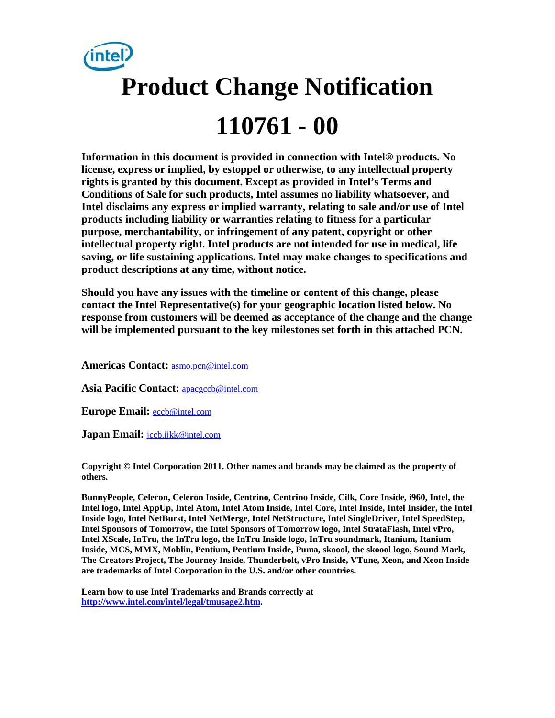

**Information in this document is provided in connection with Intel® products. No license, express or implied, by estoppel or otherwise, to any intellectual property rights is granted by this document. Except as provided in Intel's Terms and Conditions of Sale for such products, Intel assumes no liability whatsoever, and Intel disclaims any express or implied warranty, relating to sale and/or use of Intel products including liability or warranties relating to fitness for a particular purpose, merchantability, or infringement of any patent, copyright or other intellectual property right. Intel products are not intended for use in medical, life saving, or life sustaining applications. Intel may make changes to specifications and product descriptions at any time, without notice.** 

**Should you have any issues with the timeline or content of this change, please contact the Intel Representative(s) for your geographic location listed below. No response from customers will be deemed as acceptance of the change and the change will be implemented pursuant to the key milestones set forth in this attached PCN.** 

**Americas Contact:** [asmo.pcn@intel.com](mailto:asmo.pcn@intel.com) 

**Asia Pacific Contact:** [apacgccb@intel.com](mailto:apacgccb@intel.com) 

**Europe Email:** [eccb@intel.com](mailto:eccb@intel.com) 

**Japan Email:** [jccb.ijkk@intel.com](mailto:jccb.ijkk@intel.com) 

**Copyright © Intel Corporation 2011. Other names and brands may be claimed as the property of others.**

**BunnyPeople, Celeron, Celeron Inside, Centrino, Centrino Inside, Cilk, Core Inside, i960, Intel, the Intel logo, Intel AppUp, Intel Atom, Intel Atom Inside, Intel Core, Intel Inside, Intel Insider, the Intel Inside logo, Intel NetBurst, Intel NetMerge, Intel NetStructure, Intel SingleDriver, Intel SpeedStep, Intel Sponsors of Tomorrow, the Intel Sponsors of Tomorrow logo, Intel StrataFlash, Intel vPro, Intel XScale, InTru, the InTru logo, the InTru Inside logo, InTru soundmark, Itanium, Itanium Inside, MCS, MMX, Moblin, Pentium, Pentium Inside, Puma, skoool, the skoool logo, Sound Mark, The Creators Project, The Journey Inside, Thunderbolt, vPro Inside, VTune, Xeon, and Xeon Inside are trademarks of Intel Corporation in the U.S. and/or other countries.**

**Learn how to use Intel Trademarks and Brands correctly at [http://www.intel.com/intel/legal/tmusage2.htm.](http://www.intel.com/intel/legal/tmusage2.htm)**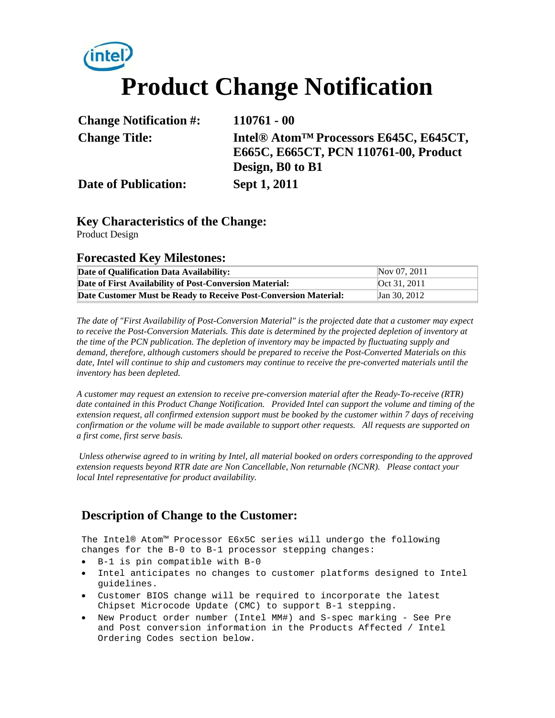# **Product Change Notification**

| <b>Change Notification #:</b> | $110761 - 00$                                                  |
|-------------------------------|----------------------------------------------------------------|
| <b>Change Title:</b>          | Intel <sup>®</sup> Atom <sup>™</sup> Processors E645C, E645CT, |
|                               | E665C, E665CT, PCN 110761-00, Product                          |
|                               | Design, B0 to B1                                               |
| <b>Date of Publication:</b>   | Sept 1, 2011                                                   |

## **Key Characteristics of the Change:**

Product Design

### **Forecasted Key Milestones:**

| Date of Qualification Data Availability:                         | Nov 07, 2011 |
|------------------------------------------------------------------|--------------|
| Date of First Availability of Post-Conversion Material:          | Oct 31, 2011 |
| Date Customer Must be Ready to Receive Post-Conversion Material: | Jan 30, 2012 |

*The date of "First Availability of Post-Conversion Material" is the projected date that a customer may expect to receive the Post-Conversion Materials. This date is determined by the projected depletion of inventory at the time of the PCN publication. The depletion of inventory may be impacted by fluctuating supply and demand, therefore, although customers should be prepared to receive the Post-Converted Materials on this date, Intel will continue to ship and customers may continue to receive the pre-converted materials until the inventory has been depleted.*

*A customer may request an extension to receive pre-conversion material after the Ready-To-receive (RTR) date contained in this Product Change Notification. Provided Intel can support the volume and timing of the extension request, all confirmed extension support must be booked by the customer within 7 days of receiving confirmation or the volume will be made available to support other requests. All requests are supported on a first come, first serve basis.* 

*Unless otherwise agreed to in writing by Intel, all material booked on orders corresponding to the approved extension requests beyond RTR date are Non Cancellable, Non returnable (NCNR). Please contact your local Intel representative for product availability.*

# **Description of Change to the Customer:**

The Intel® Atom™ Processor E6x5C series will undergo the following changes for the B-0 to B-1 processor stepping changes:

- B-1 is pin compatible with B-0
- Intel anticipates no changes to customer platforms designed to Intel guidelines.
- Customer BIOS change will be required to incorporate the latest Chipset Microcode Update (CMC) to support B-1 stepping.
- New Product order number (Intel MM#) and S-spec marking See Pre and Post conversion information in the Products Affected / Intel Ordering Codes section below.